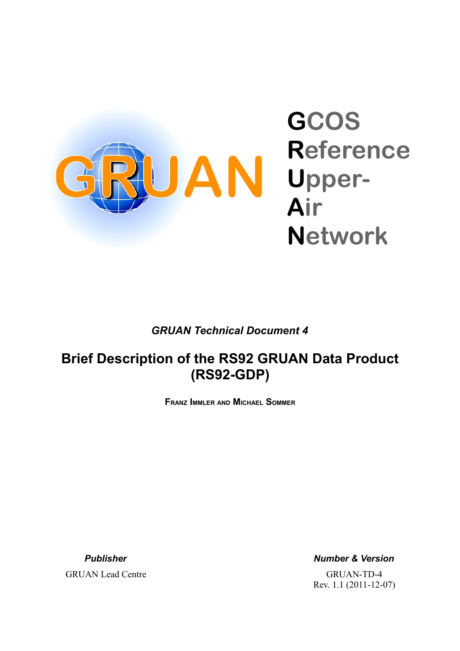

### *GRUAN Technical Document 4*

# **Brief Description of the RS92 GRUAN Data Product (RS92-GDP)**

**FRANZ IMMLER AND MICHAEL SOMMER**

*Publisher*

GRUAN Lead Centre

*Number & Version*

GRUAN-TD-4 Rev. 1.1 (2011-12-07)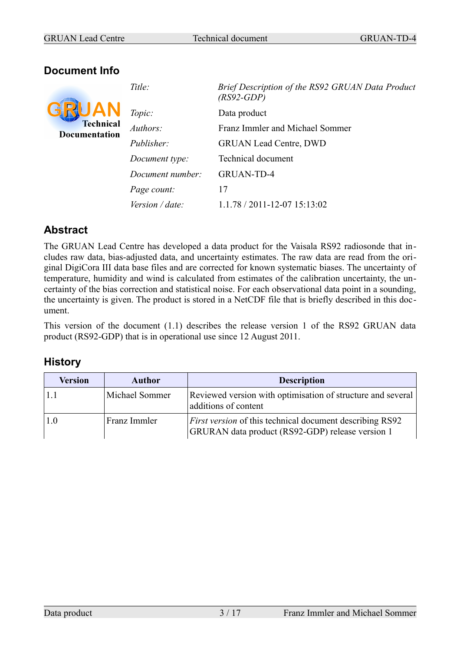#### **Document Info**

| <b>Technical</b><br>Documentation |
|-----------------------------------|
|-----------------------------------|

| Title:           | Brief Description of the RS92 GRUAN Data Product<br>$(RS92\text{-}GDP)$ |  |
|------------------|-------------------------------------------------------------------------|--|
| Topic:           | Data product                                                            |  |
| Authors:         | Franz Immler and Michael Sommer                                         |  |
| Publisher:       | <b>GRUAN Lead Centre, DWD</b>                                           |  |
| Document type:   | Technical document                                                      |  |
| Document number: | GRUAN-TD-4                                                              |  |
| Page count:      | 17                                                                      |  |
| Version / date:  | $1.1.78 / 2011 - 12 - 07 15:13:02$                                      |  |

### **Abstract**

The GRUAN Lead Centre has developed a data product for the Vaisala RS92 radiosonde that includes raw data, bias-adjusted data, and uncertainty estimates. The raw data are read from the original DigiCora III data base files and are corrected for known systematic biases. The uncertainty of temperature, humidity and wind is calculated from estimates of the calibration uncertainty, the uncertainty of the bias correction and statistical noise. For each observational data point in a sounding, the uncertainty is given. The product is stored in a NetCDF file that is briefly described in this document.

This version of the document (1.1) describes the release version 1 of the RS92 GRUAN data product (RS92-GDP) that is in operational use since 12 August 2011.

#### **History**

| Version | <b>Author</b>  | <b>Description</b>                                                                                                  |
|---------|----------------|---------------------------------------------------------------------------------------------------------------------|
|         | Michael Sommer | Reviewed version with optimisation of structure and several<br>additions of content                                 |
|         | Franz Immler   | <i>First version</i> of this technical document describing RS92<br>GRURAN data product (RS92-GDP) release version 1 |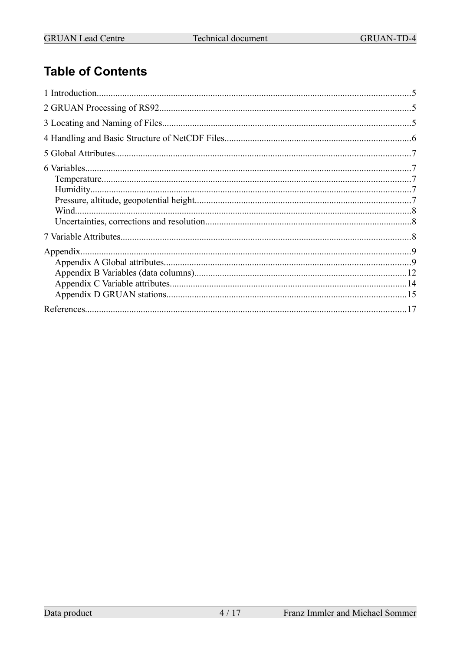# **Table of Contents**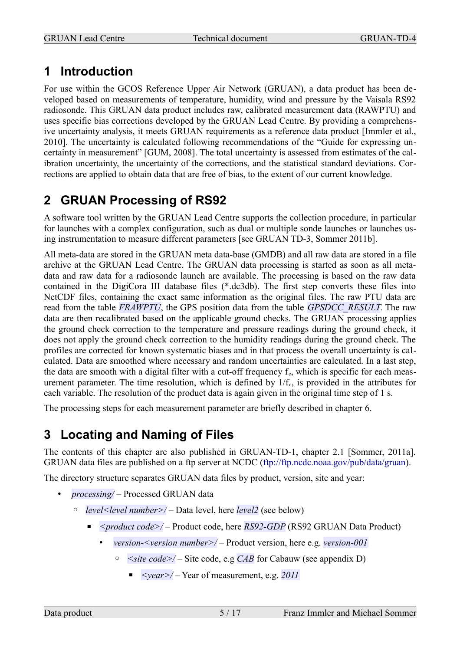# **1 Introduction**

For use within the GCOS Reference Upper Air Network (GRUAN), a data product has been developed based on measurements of temperature, humidity, wind and pressure by the Vaisala RS92 radiosonde. This GRUAN data product includes raw, calibrated measurement data (RAWPTU) and uses specific bias corrections developed by the GRUAN Lead Centre. By providing a comprehensive uncertainty analysis, it meets GRUAN requirements as a reference data product [Immler et al., 2010]. The uncertainty is calculated following recommendations of the "Guide for expressing uncertainty in measurement" [GUM, 2008]. The total uncertainty is assessed from estimates of the calibration uncertainty, the uncertainty of the corrections, and the statistical standard deviations. Corrections are applied to obtain data that are free of bias, to the extent of our current knowledge.

# **2 GRUAN Processing of RS92**

A software tool written by the GRUAN Lead Centre supports the collection procedure, in particular for launches with a complex configuration, such as dual or multiple sonde launches or launches using instrumentation to measure different parameters [see GRUAN TD-3, Sommer 2011b].

All meta-data are stored in the GRUAN meta data-base (GMDB) and all raw data are stored in a file archive at the GRUAN Lead Centre. The GRUAN data processing is started as soon as all metadata and raw data for a radiosonde launch are available. The processing is based on the raw data contained in the DigiCora III database files (\*.dc3db). The first step converts these files into NetCDF files, containing the exact same information as the original files. The raw PTU data are read from the table *FRAWPTU*, the GPS position data from the table *GPSDCC\_RESULT*. The raw data are then recalibrated based on the applicable ground checks. The GRUAN processing applies the ground check correction to the temperature and pressure readings during the ground check, it does not apply the ground check correction to the humidity readings during the ground check. The profiles are corrected for known systematic biases and in that process the overall uncertainty is calculated. Data are smoothed where necessary and random uncertainties are calculated. In a last step, the data are smooth with a digital filter with a cut-off frequency  $f_c$ , which is specific for each measurement parameter. The time resolution, which is defined by  $1/f_c$ , is provided in the attributes for each variable. The resolution of the product data is again given in the original time step of 1 s.

The processing steps for each measurement parameter are briefly described in chapter [6.](#page-6-0)

# <span id="page-4-0"></span>**3 Locating and Naming of Files**

The contents of this chapter are also published in GRUAN-TD-1, chapter 2.1 [Sommer, 2011a]. GRUAN data files are published on a ftp server at NCDC [\(ftp://ftp.ncdc.noaa.gov/pub/data/gruan\)](ftp://ftp.ncdc.noaa.gov/pub/data/gruan).

The directory structure separates GRUAN data files by product, version, site and year:

- *processing/* Processed GRUAN data
	- *level<level number>/* Data level, here *level2* (see below)
		- *<product code>/* Product code, here *RS92-GDP* (RS92 GRUAN Data Product)
			- *version-<version number>/* Product version, here e.g. *version-001*
				- *<site code>/* Site code, e.g *CAB* for Cabauw (see appendix [D\)](#page-14-0)
					- *<year>/* Year of measurement, e.g. *2011*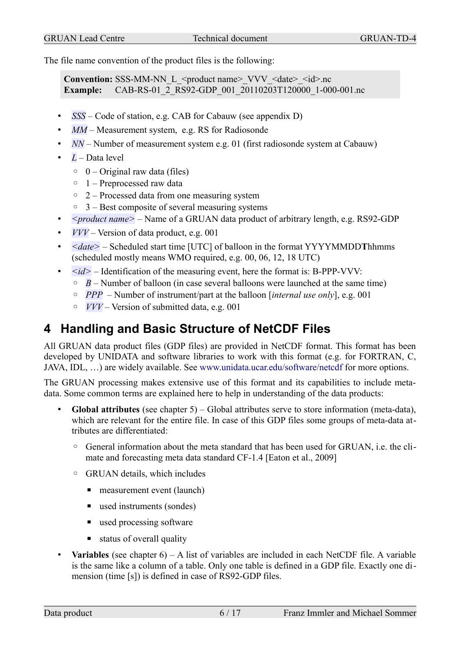The file name convention of the product files is the following:

**Convention:** SSS-MM-NN\_L\_<product name>\_VVV\_<date>\_<id>.nc **Example:** CAB-RS-01\_2\_RS92-GDP\_001\_20110203T120000\_1-000-001.nc

- *SSS* Code of station, e.g. CAB for Cabauw (see appendix [D\)](#page-14-0)
- *MM* Measurement system, e.g. RS for Radiosonde
- *NN* Number of measurement system e.g. 01 (first radiosonde system at Cabauw)
- *L* Data level
	- $\circ$  0 Original raw data (files)
	- 1 Preprocessed raw data
	- 2 Processed data from one measuring system
	- $\circ$  3 Best composite of several measuring systems
- *<product name>* Name of a GRUAN data product of arbitrary length, e.g. RS92-GDP
- *VVV* Version of data product, e.g. 001
- *<date>* Scheduled start time [UTC] of balloon in the format YYYYMMDD**T**hhmms (scheduled mostly means WMO required, e.g. 00, 06, 12, 18 UTC)
- $\bullet \quad \langle id \rangle$  Identification of the measuring event, here the format is: B-PPP-VVV:
	- $\circ$  *B* Number of balloon (in case several balloons were launched at the same time)
	- *PPP* Number of instrument/part at the balloon [*internal use only*], e.g. 001
	- *VVV* Version of submitted data, e.g. 001

## **4 Handling and Basic Structure of NetCDF Files**

All GRUAN data product files (GDP files) are provided in NetCDF format. This format has been developed by UNIDATA and software libraries to work with this format (e.g. for FORTRAN, C, JAVA, IDL, …) are widely available. See [www.unidata.ucar.edu/software/netcdf](http://www.unidata.ucar.edu/software/netcdf) for more options.

The GRUAN processing makes extensive use of this format and its capabilities to include metadata. Some common terms are explained here to help in understanding of the data products:

- **Global attributes** (see chapter [5\)](#page-6-1) Global attributes serve to store information (meta-data), which are relevant for the entire file. In case of this GDP files some groups of meta-data attributes are differentiated:
	- General information about the meta standard that has been used for GRUAN, i.e. the climate and forecasting meta data standard CF-1.4 [Eaton et al., 2009]
	- GRUAN details, which includes
		- measurement event (launch)
		- used instruments (sondes)
		- used processing software
		- status of overall quality
- **Variables** (see chapter  $6$ ) A list of variables are included in each NetCDF file. A variable is the same like a column of a table. Only one table is defined in a GDP file. Exactly one dimension (time [s]) is defined in case of RS92-GDP files.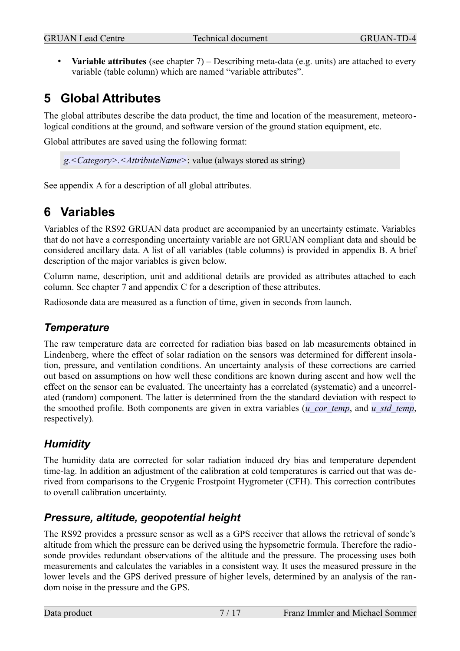• **Variable attributes** (see chapter [7\)](#page-7-0) – Describing meta-data (e.g. units) are attached to every variable (table column) which are named "variable attributes".

## <span id="page-6-1"></span>**5 Global Attributes**

The global attributes describe the data product, the time and location of the measurement, meteorological conditions at the ground, and software version of the ground station equipment, etc.

Global attributes are saved using the following format:

*g.<Category>.<AttributeName>*: value (always stored as string)

See appendix [A](#page-8-0) for a description of all global attributes.

## <span id="page-6-0"></span>**6 Variables**

Variables of the RS92 GRUAN data product are accompanied by an uncertainty estimate. Variables that do not have a corresponding uncertainty variable are not GRUAN compliant data and should be considered ancillary data. A list of all variables (table columns) is provided in appendix [B.](#page-11-0) A brief description of the major variables is given below.

Column name, description, unit and additional details are provided as attributes attached to each column. See chapter [7](#page-7-0) and appendix [C](#page-13-0) for a description of these attributes.

Radiosonde data are measured as a function of time, given in seconds from launch.

#### *Temperature*

The raw temperature data are corrected for radiation bias based on lab measurements obtained in Lindenberg, where the effect of solar radiation on the sensors was determined for different insolation, pressure, and ventilation conditions. An uncertainty analysis of these corrections are carried out based on assumptions on how well these conditions are known during ascent and how well the effect on the sensor can be evaluated. The uncertainty has a correlated (systematic) and a uncorrelated (random) component. The latter is determined from the the standard deviation with respect to the smoothed profile. Both components are given in extra variables (*u\_cor\_temp*, and *u\_std\_temp*, respectively).

### *Humidity*

The humidity data are corrected for solar radiation induced dry bias and temperature dependent time-lag. In addition an adjustment of the calibration at cold temperatures is carried out that was derived from comparisons to the Crygenic Frostpoint Hygrometer (CFH). This correction contributes to overall calibration uncertainty.

#### *Pressure, altitude, geopotential height*

The RS92 provides a pressure sensor as well as a GPS receiver that allows the retrieval of sonde's altitude from which the pressure can be derived using the hypsometric formula. Therefore the radiosonde provides redundant observations of the altitude and the pressure. The processing uses both measurements and calculates the variables in a consistent way. It uses the measured pressure in the lower levels and the GPS derived pressure of higher levels, determined by an analysis of the random noise in the pressure and the GPS.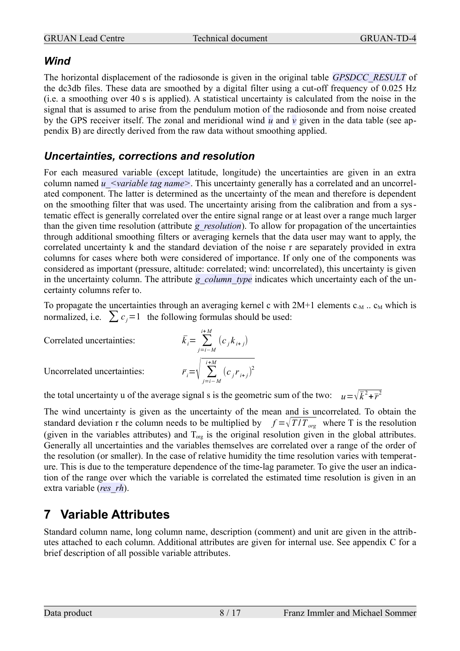#### *Wind*

The horizontal displacement of the radiosonde is given in the original table *GPSDCC\_RESULT* of the dc3db files. These data are smoothed by a digital filter using a cut-off frequency of 0.025 Hz (i.e. a smoothing over 40 s is applied). A statistical uncertainty is calculated from the noise in the signal that is assumed to arise from the pendulum motion of the radiosonde and from noise created by the GPS receiver itself. The zonal and meridional wind *u* and *v* given in the data table (see appendix [B\)](#page-11-0) are directly derived from the raw data without smoothing applied.

#### *Uncertainties, corrections and resolution*

For each measured variable (except latitude, longitude) the uncertainties are given in an extra column named *u\_<variable tag name>*. This uncertainty generally has a correlated and an uncorrelated component. The latter is determined as the uncertainty of the mean and therefore is dependent on the smoothing filter that was used. The uncertainty arising from the calibration and from a systematic effect is generally correlated over the entire signal range or at least over a range much larger than the given time resolution (attribute *g\_resolution*). To allow for propagation of the uncertainties through additional smoothing filters or averaging kernels that the data user may want to apply, the correlated uncertainty k and the standard deviation of the noise r are separately provided in extra columns for cases where both were considered of importance. If only one of the components was considered as important (pressure, altitude: correlated; wind: uncorrelated), this uncertainty is given in the uncertainty column. The attribute *g\_column\_type* indicates which uncertainty each of the uncertainty columns refer to.

To propagate the uncertainties through an averaging kernel c with  $2M+1$  elements  $c_M$  ..  $c_M$  which is normalized, i.e.  $\sum c_i = 1$  the following formulas should be used:

Correlated uncertainties:

Uncorrelated uncertainties:

$$
\bar{k}_{i} = \sum_{j=i-M}^{i+M} (c_{j}k_{i+j})
$$
\n
$$
\bar{r}_{i} = \sqrt{\sum_{j=i-M}^{i+M} (c_{j}r_{i+j})^{2}}
$$

the total uncertainty u of the average signal s is the geometric sum of the two:  $u = \sqrt{k^2 + r^2}$ 

The wind uncertainty is given as the uncertainty of the mean and is uncorrelated. To obtain the standard deviation r the column needs to be multiplied by  $f = \sqrt{T/T_{org}}$  where T is the resolution (given in the variables attributes) and  $T_{org}$  is the original resolution given in the global attributes. Generally all uncertainties and the variables themselves are correlated over a range of the order of the resolution (or smaller). In the case of relative humidity the time resolution varies with temperature. This is due to the temperature dependence of the time-lag parameter. To give the user an indication of the range over which the variable is correlated the estimated time resolution is given in an extra variable (*res\_rh*).

## <span id="page-7-0"></span>**7 Variable Attributes**

Standard column name, long column name, description (comment) and unit are given in the attributes attached to each column. Additional attributes are given for internal use. See appendix [C](#page-13-0) for a brief description of all possible variable attributes.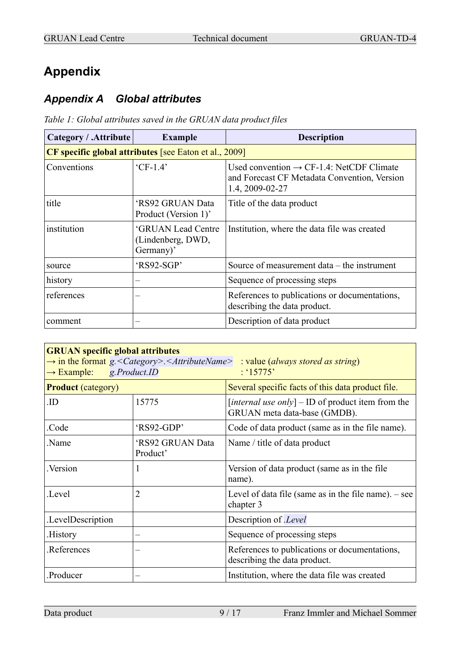# **Appendix**

### <span id="page-8-0"></span>*Appendix A Global attributes*

*Table 1: Global attributes saved in the GRUAN data product files*

| Category / .Attribute | <b>Example</b>                                                | <b>Description</b>                                                                                                      |  |
|-----------------------|---------------------------------------------------------------|-------------------------------------------------------------------------------------------------------------------------|--|
|                       | <b>CF</b> specific global attributes [see Eaton et al., 2009] |                                                                                                                         |  |
| Conventions           | $^{\circ}$ CF-1.4'                                            | Used convention $\rightarrow$ CF-1.4: NetCDF Climate<br>and Forecast CF Metadata Convention, Version<br>1.4, 2009-02-27 |  |
| title                 | 'RS92 GRUAN Data<br>Product (Version 1)'                      | Title of the data product                                                                                               |  |
| institution           | 'GRUAN Lead Centre<br>(Lindenberg, DWD,<br>Germany)'          | Institution, where the data file was created                                                                            |  |
| source                | 'RS92-SGP'                                                    | Source of measurement data – the instrument                                                                             |  |
| history               |                                                               | Sequence of processing steps                                                                                            |  |
| references            |                                                               | References to publications or documentations,<br>describing the data product.                                           |  |
| comment               |                                                               | Description of data product                                                                                             |  |

| <b>GRUAN</b> specific global attributes                                                                                                                  |                              |                                                                                                   |
|----------------------------------------------------------------------------------------------------------------------------------------------------------|------------------------------|---------------------------------------------------------------------------------------------------|
| $\rightarrow$ in the format g. < Category>. < AttributeName><br>: value (always stored as string)<br>g.Product.ID<br>: '15775'<br>$\rightarrow$ Example: |                              |                                                                                                   |
| <b>Product</b> (category)                                                                                                                                |                              | Several specific facts of this data product file.                                                 |
| .ID                                                                                                                                                      | 15775                        | [ <i>internal</i> use <i>only</i> ] – ID of product item from the<br>GRUAN meta data-base (GMDB). |
| .Code                                                                                                                                                    | 'RS92-GDP'                   | Code of data product (same as in the file name).                                                  |
| Name.                                                                                                                                                    | 'RS92 GRUAN Data<br>Product' | Name / title of data product                                                                      |
| .Version                                                                                                                                                 | 1                            | Version of data product (same as in the file<br>name).                                            |
| Level                                                                                                                                                    | 2                            | Level of data file (same as in the file name). $-$ see<br>chapter 3                               |
| .LevelDescription                                                                                                                                        |                              | Description of <i>Level</i>                                                                       |
| .History                                                                                                                                                 |                              | Sequence of processing steps                                                                      |
| References                                                                                                                                               |                              | References to publications or documentations,<br>describing the data product.                     |
| Producer.                                                                                                                                                |                              | Institution, where the data file was created                                                      |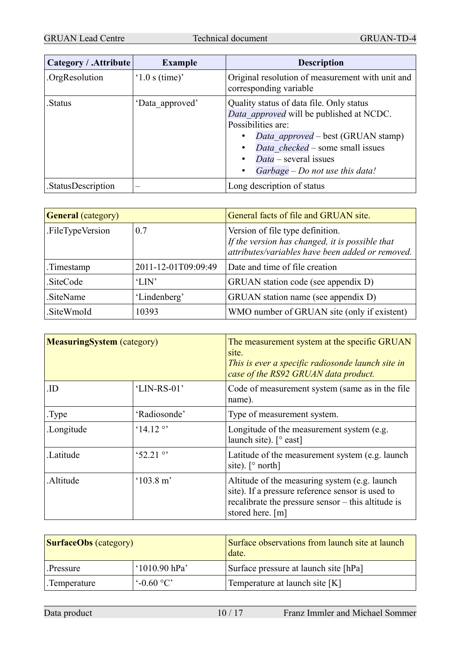| Category / .Attribute | <b>Example</b>                       | <b>Description</b>                                                                                                                                                                                                                                      |
|-----------------------|--------------------------------------|---------------------------------------------------------------------------------------------------------------------------------------------------------------------------------------------------------------------------------------------------------|
| .OrgResolution        | $(1.0 \text{ s} \times \text{time})$ | Original resolution of measurement with unit and<br>corresponding variable                                                                                                                                                                              |
| .Status               | 'Data approved'                      | Quality status of data file. Only status<br>Data approved will be published at NCDC.<br>Possibilities are:<br>Data approved – best (GRUAN stamp)<br>Data checked – some small issues<br>$Data$ – several issues<br>Garbage - Do not use this data!<br>٠ |
| .StatusDescription    |                                      | Long description of status                                                                                                                                                                                                                              |

| <b>General</b> (category) |                     | General facts of file and GRUAN site.                                                                                                   |
|---------------------------|---------------------|-----------------------------------------------------------------------------------------------------------------------------------------|
| .FileTypeVersion          | 0.7                 | Version of file type definition.<br>If the version has changed, it is possible that<br>attributes/variables have been added or removed. |
| .Timestamp                | 2011-12-01T09:09:49 | Date and time of file creation                                                                                                          |
| .SiteCode                 | 'LIN'               | GRUAN station code (see appendix D)                                                                                                     |
| .SiteName                 | 'Lindenberg'        | GRUAN station name (see appendix D)                                                                                                     |
| .SiteWmoId                | 10393               | WMO number of GRUAN site (only if existent)                                                                                             |

| <b>MeasuringSystem (category)</b> |              | The measurement system at the specific GRUAN<br>site.<br>This is ever a specific radiosonde launch site in<br>case of the RS92 GRUAN data product.                          |
|-----------------------------------|--------------|-----------------------------------------------------------------------------------------------------------------------------------------------------------------------------|
| .ID                               | 'LIN-RS-01'  | Code of measurement system (same as in the file<br>name).                                                                                                                   |
| Type.                             | 'Radiosonde' | Type of measurement system.                                                                                                                                                 |
| .Longitude                        | $14.12$ °    | Longitude of the measurement system (e.g.<br>launch site). $\lceil \circ \text{east} \rceil$                                                                                |
| Latitude.                         | $52.21$ °    | Latitude of the measurement system (e.g. launch)<br>site). $\lceil \circ \text{north} \rceil$                                                                               |
| Altitude.                         | '103.8 m'    | Altitude of the measuring system (e.g. launch<br>site). If a pressure reference sensor is used to<br>recalibrate the pressure sensor – this altitude is<br>stored here. [m] |

| <b>SurfaceObs</b> (category) |                 | Surface observations from launch site at launch<br>date. |
|------------------------------|-----------------|----------------------------------------------------------|
| Pressure.                    | $'1010.90$ hPa' | Surface pressure at launch site [hPa]                    |
| $-0.60 °C$<br>.Temperature   |                 | Temperature at launch site [K]                           |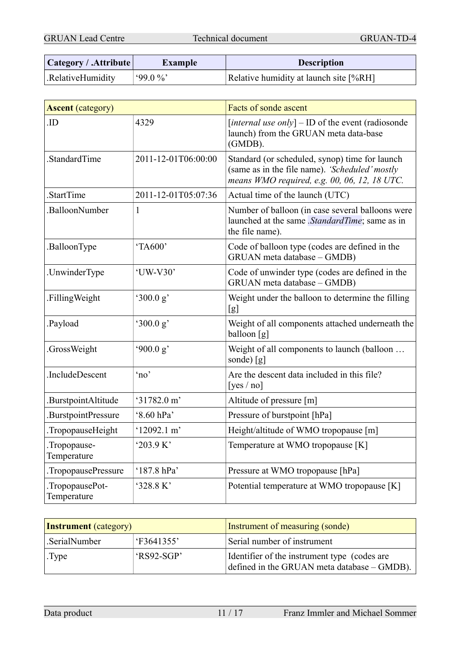GRUAN Lead Centre Technical document GRUAN-TD-4

| Category / .Attribute | <b>Example</b> | <b>Description</b>                     |
|-----------------------|----------------|----------------------------------------|
| RelativeHumidity      | $99.0\%$       | Relative humidity at launch site [%RH] |

| <b>Ascent</b> (category)       |                         | Facts of sonde ascent                                                                                                                            |
|--------------------------------|-------------------------|--------------------------------------------------------------------------------------------------------------------------------------------------|
| .ID                            | 4329                    | [internal use only] $-$ ID of the event (radiosonde<br>launch) from the GRUAN meta data-base<br>(GMDB).                                          |
| .StandardTime                  | 2011-12-01T06:00:00     | Standard (or scheduled, synop) time for launch<br>(same as in the file name). 'Scheduled' mostly<br>means WMO required, e.g. 00, 06, 12, 18 UTC. |
| StartTime                      | 2011-12-01T05:07:36     | Actual time of the launch (UTC)                                                                                                                  |
| BalloonNumber                  | $\mathbf{1}$            | Number of balloon (in case several balloons were<br>launched at the same .StandardTime; same as in<br>the file name).                            |
| .BalloonType                   | 'TA600'                 | Code of balloon type (codes are defined in the<br>GRUAN meta database - GMDB)                                                                    |
| .UnwinderType                  | 'UW-V30'                | Code of unwinder type (codes are defined in the<br>GRUAN meta database - GMDB)                                                                   |
| FillingWeight                  | $^{\circ}300.0~{\rm g}$ | Weight under the balloon to determine the filling<br>[g]                                                                                         |
| Payload                        | $^{\circ}300.0~{\rm g}$ | Weight of all components attached underneath the<br>balloon [g]                                                                                  |
| .GrossWeight                   | $900.0\,\mathrm{g}$     | Weight of all components to launch (balloon<br>sonde) [g]                                                                                        |
| .IncludeDescent                | $^{\circ}$ no'          | Are the descent data included in this file?<br>[yes $/$ no]                                                                                      |
| .BurstpointAltitude            | 31782.0 m'              | Altitude of pressure [m]                                                                                                                         |
| .BurstpointPressure            | '8.60 hPa'              | Pressure of burstpoint [hPa]                                                                                                                     |
| .TropopauseHeight              | '12092.1 m'             | Height/altitude of WMO tropopause [m]                                                                                                            |
| .Tropopause-<br>Temperature    | '203.9 K'               | Temperature at WMO tropopause [K]                                                                                                                |
| TropopausePressure             | '187.8 hPa'             | Pressure at WMO tropopause [hPa]                                                                                                                 |
| .TropopausePot-<br>Temperature | '328.8K'                | Potential temperature at WMO tropopause [K]                                                                                                      |

| <b>Instrument</b> (category)  |  | Instrument of measuring (sonde)                                                             |  |  |
|-------------------------------|--|---------------------------------------------------------------------------------------------|--|--|
| 'F3641355'<br>SerialNumber    |  | Serial number of instrument                                                                 |  |  |
| $RS92-SGP'$<br>$\vert$ . Type |  | Identifier of the instrument type (codes are<br>defined in the GRUAN meta database - GMDB). |  |  |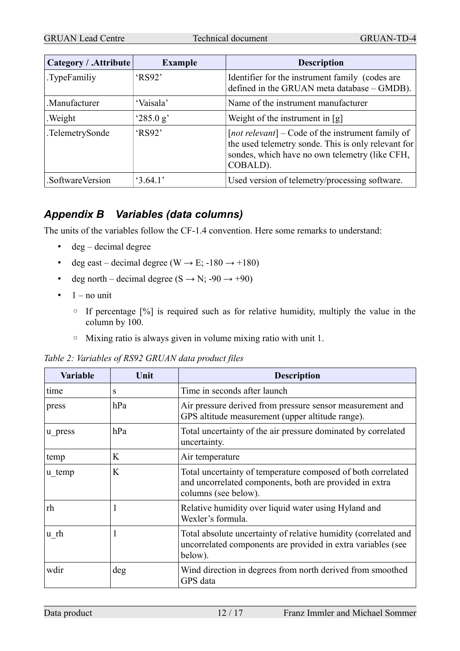| Category / .Attribute | <b>Example</b>     | <b>Description</b>                                                                                                                                                       |
|-----------------------|--------------------|--------------------------------------------------------------------------------------------------------------------------------------------------------------------------|
| TypeFamiliy           | 'RS92'             | Identifier for the instrument family (codes are<br>defined in the GRUAN meta database – GMDB).                                                                           |
| .Manufacturer         | 'Vaisala'          | Name of the instrument manufacturer                                                                                                                                      |
| .Weight               | $^{\circ}285.0 g'$ | Weight of the instrument in [g]                                                                                                                                          |
| .TelemetrySonde       | 'RS92'             | $[not relevant]$ – Code of the instrument family of<br>the used telemetry sonde. This is only relevant for<br>sondes, which have no own telemetry (like CFH,<br>COBALD). |
| .SoftwareVersion      | 3.64.1'            | Used version of telemetry/processing software.                                                                                                                           |

#### *Appendix B Variables (data columns)*

The units of the variables follow the CF-1.4 convention. Here some remarks to understand:

- <span id="page-11-0"></span>• deg – decimal degree
- deg east decimal degree (W  $\rightarrow$  E; -180  $\rightarrow$  +180)
- deg north decimal degree  $(S \rightarrow N; -90 \rightarrow +90)$
- $\bullet$  1 no unit
	- If percentage [%] is required such as for relative humidity, multiply the value in the column by 100.
	- Mixing ratio is always given in volume mixing ratio with unit 1.

| Table 2: Variables of RS92 GRUAN data product files |  |  |  |  |  |  |
|-----------------------------------------------------|--|--|--|--|--|--|
|-----------------------------------------------------|--|--|--|--|--|--|

| <b>Variable</b> | Unit | <b>Description</b>                                                                                                                              |  |
|-----------------|------|-------------------------------------------------------------------------------------------------------------------------------------------------|--|
| time            | S    | Time in seconds after launch                                                                                                                    |  |
| press           | hPa  | Air pressure derived from pressure sensor measurement and<br>GPS altitude measurement (upper altitude range).                                   |  |
| u_press         | hPa  | Total uncertainty of the air pressure dominated by correlated<br>uncertainty.                                                                   |  |
| temp            | K    | Air temperature                                                                                                                                 |  |
| u temp          | K    | Total uncertainty of temperature composed of both correlated<br>and uncorrelated components, both are provided in extra<br>columns (see below). |  |
| rh              | 1    | Relative humidity over liquid water using Hyland and<br>Wexler's formula.                                                                       |  |
| u rh            | 1    | Total absolute uncertainty of relative humidity (correlated and<br>uncorrelated components are provided in extra variables (see<br>below).      |  |
| wdir            | deg  | Wind direction in degrees from north derived from smoothed<br>GPS data                                                                          |  |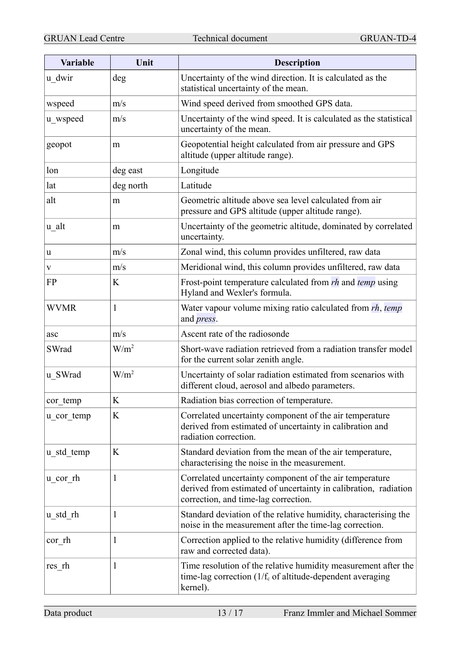| <b>Variable</b> | Unit         | <b>Description</b>                                                                                                                                                 |  |
|-----------------|--------------|--------------------------------------------------------------------------------------------------------------------------------------------------------------------|--|
| u dwir          | deg          | Uncertainty of the wind direction. It is calculated as the<br>statistical uncertainty of the mean.                                                                 |  |
| wspeed          | m/s          | Wind speed derived from smoothed GPS data.                                                                                                                         |  |
| u wspeed        | m/s          | Uncertainty of the wind speed. It is calculated as the statistical<br>uncertainty of the mean.                                                                     |  |
| geopot          | m            | Geopotential height calculated from air pressure and GPS<br>altitude (upper altitude range).                                                                       |  |
| lon             | deg east     | Longitude                                                                                                                                                          |  |
| lat             | deg north    | Latitude                                                                                                                                                           |  |
| alt             | m            | Geometric altitude above sea level calculated from air<br>pressure and GPS altitude (upper altitude range).                                                        |  |
| u alt           | m            | Uncertainty of the geometric altitude, dominated by correlated<br>uncertainty.                                                                                     |  |
| u               | m/s          | Zonal wind, this column provides unfiltered, raw data                                                                                                              |  |
| $\mathbf{V}$    | m/s          | Meridional wind, this column provides unfiltered, raw data                                                                                                         |  |
| <b>FP</b>       | K            | Frost-point temperature calculated from rh and temp using<br>Hyland and Wexler's formula.                                                                          |  |
| <b>WVMR</b>     | $\mathbf{1}$ | Water vapour volume mixing ratio calculated from rh, temp<br>and <i>press</i> .                                                                                    |  |
| asc             | m/s          | Ascent rate of the radiosonde                                                                                                                                      |  |
| SWrad           | $W/m^2$      | Short-wave radiation retrieved from a radiation transfer model<br>for the current solar zenith angle.                                                              |  |
| u SWrad         | $W/m^2$      | Uncertainty of solar radiation estimated from scenarios with<br>different cloud, aerosol and albedo parameters.                                                    |  |
| cor temp        | K            | Radiation bias correction of temperature.                                                                                                                          |  |
| u cor temp      | K            | Correlated uncertainty component of the air temperature<br>derived from estimated of uncertainty in calibration and<br>radiation correction.                       |  |
| u std temp      | K            | Standard deviation from the mean of the air temperature,<br>characterising the noise in the measurement.                                                           |  |
| u cor rh        | $\mathbf{1}$ | Correlated uncertainty component of the air temperature<br>derived from estimated of uncertainty in calibration, radiation<br>correction, and time-lag correction. |  |
| u std rh        | 1            | Standard deviation of the relative humidity, characterising the<br>noise in the measurement after the time-lag correction.                                         |  |
| cor rh          | $\mathbf{1}$ | Correction applied to the relative humidity (difference from<br>raw and corrected data).                                                                           |  |
| res rh          | 1            | Time resolution of the relative humidity measurement after the<br>time-lag correction $(1/f_c)$ of altitude-dependent averaging<br>kernel).                        |  |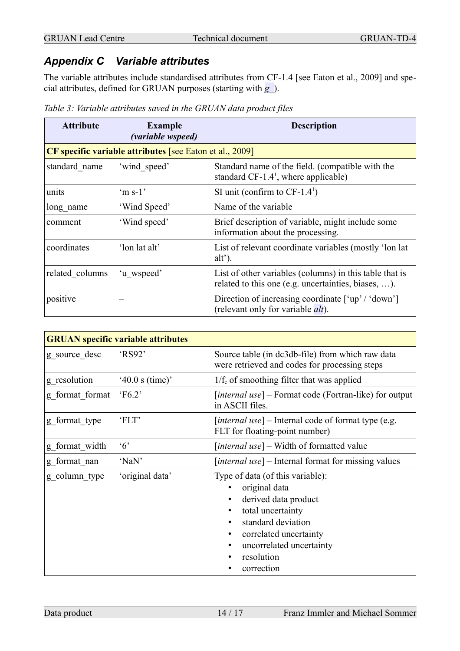### <span id="page-13-0"></span>*Appendix C Variable attributes*

The variable attributes include standardised attributes from CF-1.4 [see Eaton et al., 2009] and special attributes, defined for GRUAN purposes (starting with *g\_*).

| <b>Attribute</b> | <b>Example</b><br>(variable wspeed)                             | <b>Description</b>                                                                                             |
|------------------|-----------------------------------------------------------------|----------------------------------------------------------------------------------------------------------------|
|                  | <b>CF</b> specific variable attributes [see Eaton et al., 2009] |                                                                                                                |
| standard name    | 'wind speed'                                                    | Standard name of the field. (compatible with the<br>standard CF-1.4 <sup>1</sup> , where applicable)           |
| units            | $\mathrm{m}$ s-1'                                               | SI unit (confirm to $CF-1.4^1$ )                                                                               |
| long name        | 'Wind Speed'                                                    | Name of the variable                                                                                           |
| comment          | 'Wind speed'                                                    | Brief description of variable, might include some<br>information about the processing.                         |
| coordinates      | 'lon lat alt'                                                   | List of relevant coordinate variables (mostly 'lon lat<br>$alt$ ).                                             |
| related columns  | 'u wspeed'                                                      | List of other variables (columns) in this table that is<br>related to this one (e.g. uncertainties, biases, ). |
| positive         |                                                                 | Direction of increasing coordinate ['up' / 'down']<br>(relevant only for variable <i>alt</i> ).                |

*Table 3: Variable attributes saved in the GRUAN data product files*

|                 | <b>GRUAN</b> specific variable attributes |                                                                                                                                                                                                             |  |  |  |
|-----------------|-------------------------------------------|-------------------------------------------------------------------------------------------------------------------------------------------------------------------------------------------------------------|--|--|--|
| g source desc   | 'RS92'                                    | Source table (in dc3db-file) from which raw data<br>were retrieved and codes for processing steps                                                                                                           |  |  |  |
| g_resolution    | '40.0 s (time)'                           | $1/f_c$ of smoothing filter that was applied                                                                                                                                                                |  |  |  |
| g format format | F6.2'                                     | [internal use] – Format code (Fortran-like) for output<br>in ASCII files.                                                                                                                                   |  |  |  |
| g_format_type   | 'FLT'                                     | [ <i>internal use</i> ] – Internal code of format type (e.g.<br>FLT for floating-point number)                                                                                                              |  |  |  |
| g format width  | $\mathcal{L}(6)$                          | [ <i>internal use</i> ] – Width of formatted value                                                                                                                                                          |  |  |  |
| g_format_nan    | 'NaN'                                     | [internal use] – Internal format for missing values                                                                                                                                                         |  |  |  |
| g column type   | 'original data'                           | Type of data (of this variable):<br>original data<br>derived data product<br>total uncertainty<br>standard deviation<br>correlated uncertainty<br>٠<br>uncorrelated uncertainty<br>resolution<br>correction |  |  |  |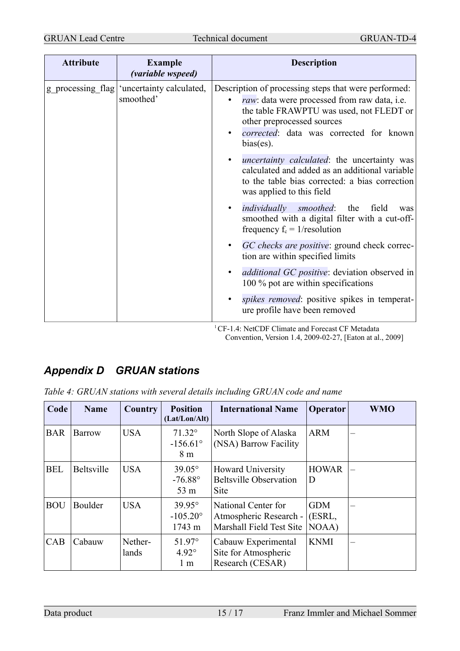| <b>Attribute</b> | <b>Example</b><br>(variable wspeed)                    | <b>Description</b>                                                                                                                                                                                                                                                                                                                                                                                                                                                                                                                                                                                                                                                                                                                                                                                                                            |
|------------------|--------------------------------------------------------|-----------------------------------------------------------------------------------------------------------------------------------------------------------------------------------------------------------------------------------------------------------------------------------------------------------------------------------------------------------------------------------------------------------------------------------------------------------------------------------------------------------------------------------------------------------------------------------------------------------------------------------------------------------------------------------------------------------------------------------------------------------------------------------------------------------------------------------------------|
|                  | g processing flag uncertainty calculated,<br>smoothed' | Description of processing steps that were performed:<br>raw: data were processed from raw data, i.e.<br>the table FRAWPTU was used, not FLEDT or<br>other preprocessed sources<br>corrected: data was corrected for known<br>$bias(es)$ .<br><i>uncertainty calculated</i> : the uncertainty was<br>calculated and added as an additional variable<br>to the table bias corrected: a bias correction<br>was applied to this field<br><i>individually smoothed</i> : the field<br>was<br>smoothed with a digital filter with a cut-off-<br>frequency $f_c = 1$ /resolution<br>GC checks are positive: ground check correc-<br>tion are within specified limits<br><i>additional GC positive:</i> deviation observed in<br>100 % pot are within specifications<br>spikes removed: positive spikes in temperat-<br>ure profile have been removed |

<sup>1</sup> CF-1.4: NetCDF Climate and Forecast CF Metadata Convention, Version 1.4, 2009-02-27, [Eaton at al., 2009]

### <span id="page-14-0"></span>*Appendix D GRUAN stations*

| Code       | <b>Name</b>       | Country          | <b>Position</b><br>(Lat/Lon/Alt)                  | <b>International Name</b>                                                 | <b>Operator</b>               | <b>WMO</b> |
|------------|-------------------|------------------|---------------------------------------------------|---------------------------------------------------------------------------|-------------------------------|------------|
| <b>BAR</b> | Barrow            | <b>USA</b>       | $71.32^{\circ}$<br>$-156.61^{\circ}$<br>8 m       | North Slope of Alaska<br>(NSA) Barrow Facility                            | <b>ARM</b>                    |            |
| <b>BEL</b> | <b>Beltsville</b> | <b>USA</b>       | $39.05^{\circ}$<br>$-76.88^{\circ}$<br>53 m       | <b>Howard University</b><br><b>Beltsville Observation</b><br><b>Site</b>  | <b>HOWAR</b><br>D             |            |
| <b>BOU</b> | Boulder           | <b>USA</b>       | $39.95^\circ$<br>$-105.20^{\circ}$<br>1743 m      | National Center for<br>Atmospheric Research -<br>Marshall Field Test Site | <b>GDM</b><br>(ESRL,<br>NOAA) |            |
| CAB        | Cabauw            | Nether-<br>lands | $51.97^{\circ}$<br>$4.92^\circ$<br>1 <sub>m</sub> | Cabauw Experimental<br>Site for Atmospheric<br>Research (CESAR)           | <b>KNMI</b>                   |            |

*Table 4: GRUAN stations with several details including GRUAN code and name*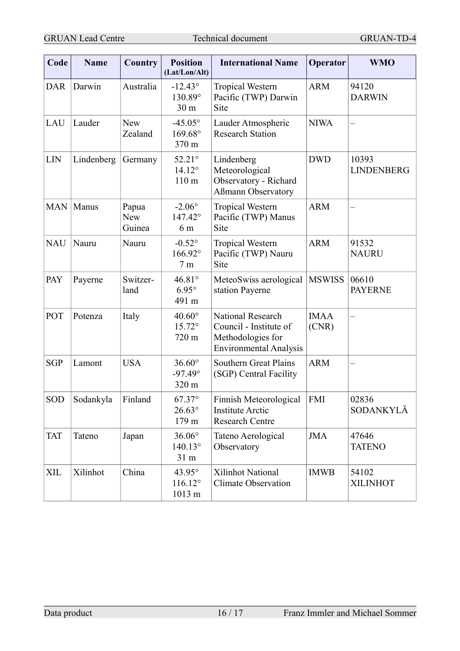GRUAN Lead Centre Technical document GRUAN-TD-4

| Code       | <b>Name</b> | <b>Country</b>                | <b>Position</b><br>(Lat/Lon/Alt)                       | <b>International Name</b>                                                                                | Operator             | <b>WMO</b>                 |
|------------|-------------|-------------------------------|--------------------------------------------------------|----------------------------------------------------------------------------------------------------------|----------------------|----------------------------|
| <b>DAR</b> | Darwin      | Australia                     | $-12.43^{\circ}$<br>130.89°<br>30 <sub>m</sub>         | <b>Tropical Western</b><br>Pacific (TWP) Darwin<br>Site                                                  | <b>ARM</b>           | 94120<br><b>DARWIN</b>     |
| LAU        | Lauder      | <b>New</b><br>Zealand         | $-45.05^{\circ}$<br>169.68°<br>370 m                   | Lauder Atmospheric<br><b>Research Station</b>                                                            | <b>NIWA</b>          |                            |
| <b>LIN</b> | Lindenberg  | Germany                       | 52.21°<br>$14.12^{\circ}$<br>110 m                     | Lindenberg<br>Meteorological<br>Observatory - Richard<br>Aßmann Observatory                              | <b>DWD</b>           | 10393<br><b>LINDENBERG</b> |
| <b>MAN</b> | Manus       | Papua<br><b>New</b><br>Guinea | $-2.06^{\circ}$<br>147.42°<br>6 m                      | <b>Tropical Western</b><br>Pacific (TWP) Manus<br>Site                                                   | <b>ARM</b>           |                            |
| <b>NAU</b> | Nauru       | Nauru                         | $-0.52^{\circ}$<br>166.92°<br>7 <sub>m</sub>           | <b>Tropical Western</b><br>Pacific (TWP) Nauru<br>Site                                                   | <b>ARM</b>           | 91532<br><b>NAURU</b>      |
| <b>PAY</b> | Payerne     | Switzer-<br>land              | $46.81^{\circ}$<br>$6.95^\circ$<br>491 m               | MeteoSwiss aerological<br>station Payerne                                                                | <b>MSWISS</b>        | 06610<br><b>PAYERNE</b>    |
| POT        | Potenza     | Italy                         | $40.60^\circ$<br>$15.72^{\circ}$<br>720 m              | <b>National Research</b><br>Council - Institute of<br>Methodologies for<br><b>Environmental Analysis</b> | <b>IMAA</b><br>(CNR) |                            |
| <b>SGP</b> | Lamont      | <b>USA</b>                    | $36.60^\circ$<br>$-97.49^{\circ}$<br>320 m             | <b>Southern Great Plains</b><br>(SGP) Central Facility                                                   | <b>ARM</b>           |                            |
| <b>SOD</b> | Sodankyla   | Finland                       | 67.37°<br>$26.63^\circ$<br>179 m                       | Finnish Meteorological<br><b>Institute Arctic</b><br><b>Research Centre</b>                              | <b>FMI</b>           | 02836<br>SODANKYLÄ         |
| <b>TAT</b> | Tateno      | Japan                         | $36.06^{\circ}$<br>$140.13^{\circ}$<br>31 <sub>m</sub> | Tateno Aerological<br>Observatory                                                                        | <b>JMA</b>           | 47646<br><b>TATENO</b>     |
| <b>XIL</b> | Xilinhot    | China                         | 43.95°<br>$116.12^{\circ}$<br>1013 m                   | Xilinhot National<br><b>Climate Observation</b>                                                          | <b>IMWB</b>          | 54102<br><b>XILINHOT</b>   |